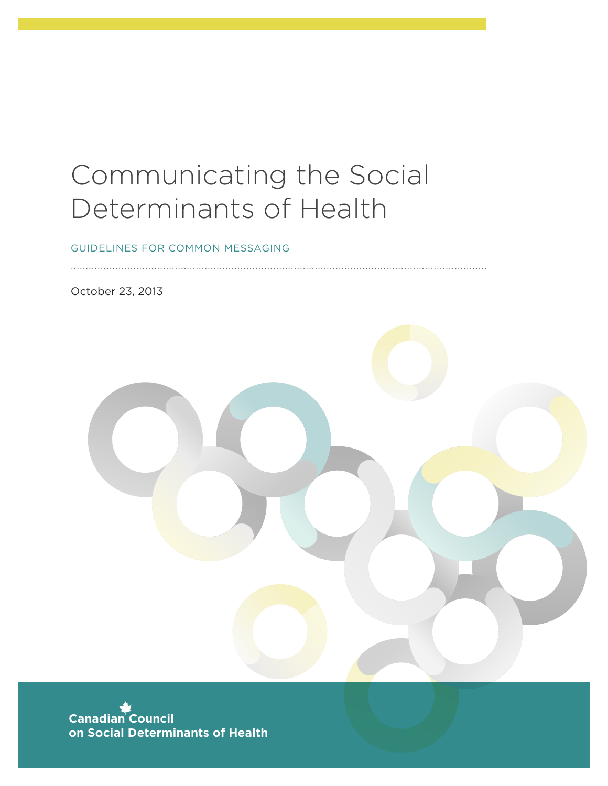### Communicating the Social Determinants of Health

GUIDELINES FOR COMMON MESSAGING

October 23, 2013



**Canadian Council on Social Determinants of Health**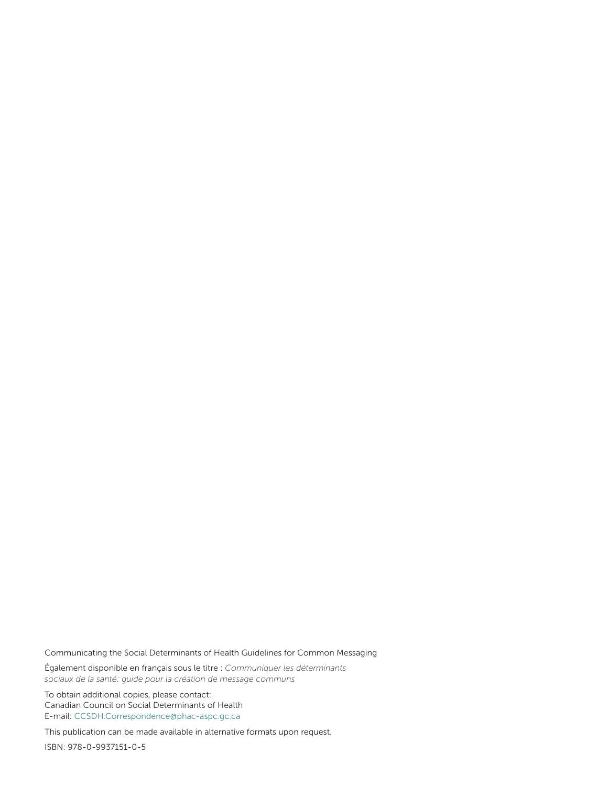Communicating the Social Determinants of Health Guidelines for Common Messaging

Également disponible en français sous le titre : *Communiquer les déterminants sociaux de la santé: guide pour la création de message communs*

To obtain additional copies, please contact: Canadian Council on Social Determinants of Health E-mail: CCSDH.Correspondence@phac-aspc.gc.ca

This publication can be made available in alternative formats upon request.

ISBN: 978-0-9937151-0-5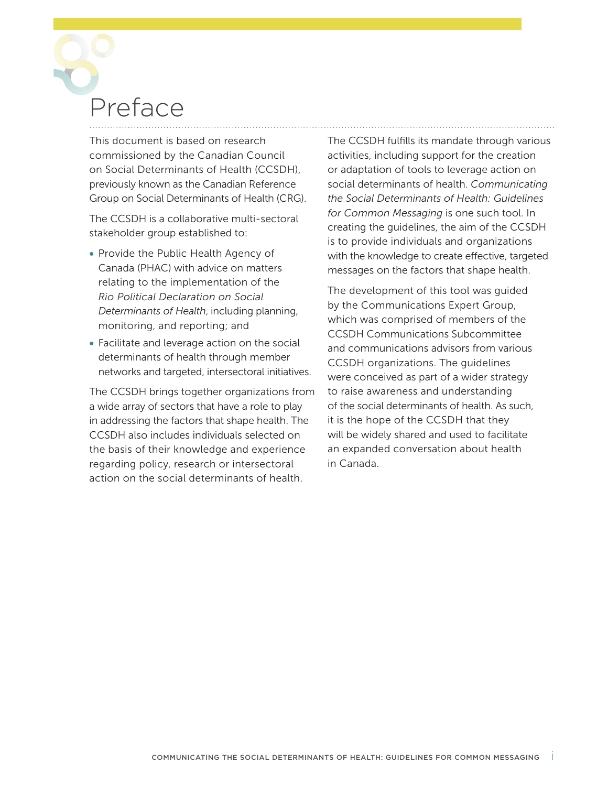# Preface

This document is based on research commissioned by the Canadian Council on Social Determinants of Health (CCSDH), previously known as the Canadian Reference Group on Social Determinants of Health (CRG).

The CCSDH is a collaborative multi-sectoral stakeholder group established to:

- Provide the Public Health Agency of Canada (PHAC) with advice on matters relating to the implementation of the *Rio Political Declaration on Social Determinants of Health*, including planning, monitoring, and reporting; and
- Facilitate and leverage action on the social determinants of health through member networks and targeted, intersectoral initiatives.

The CCSDH brings together organizations from a wide array of sectors that have a role to play in addressing the factors that shape health. The CCSDH also includes individuals selected on the basis of their knowledge and experience regarding policy, research or intersectoral action on the social determinants of health.

The CCSDH fulfills its mandate through various activities, including support for the creation or adaptation of tools to leverage action on social determinants of health. *Communicating the Social Determinants of Health: Guidelines for Common Messaging* is one such tool. In creating the guidelines, the aim of the CCSDH is to provide individuals and organizations with the knowledge to create effective, targeted messages on the factors that shape health.

The development of this tool was guided by the Communications Expert Group, which was comprised of members of the CCSDH Communications Subcommittee and communications advisors from various CCSDH organizations. The guidelines were conceived as part of a wider strategy to raise awareness and understanding of the social determinants of health. As such, it is the hope of the CCSDH that they will be widely shared and used to facilitate an expanded conversation about health in Canada.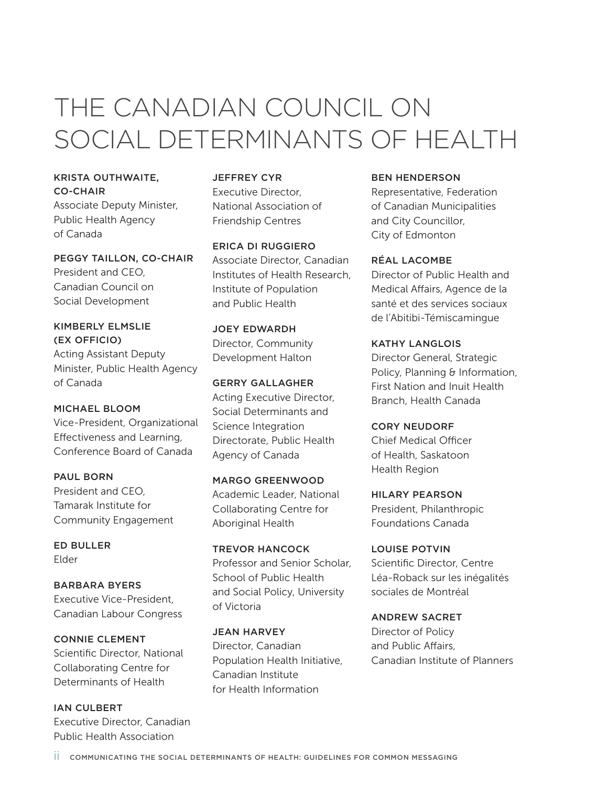### THE CANADIAN COUNCIL ON SOCIAL DETERMINANTS OF HEALTH

KRISTA OUTHWAITE, CO-CHAIR Associate Deputy Minister,

Public Health Agency of Canada

PEGGY TAILLON, CO-CHAIR President and CEO, Canadian Council on Social Development

KIMBERLY ELMSLIE (EX OFFICIO) Acting Assistant Deputy Minister, Public Health Agency of Canada

MICHAEL BLOOM Vice-President, Organizational Effectiveness and Learning, Conference Board of Canada

PAUL BORN President and CEO, Tamarak Institute for Community Engagement

ED BULLER Elder

BARBARA BYERS Executive Vice-President, Canadian Labour Congress

CONNIE CLEMENT Scientific Director, National Collaborating Centre for Determinants of Health

**IAN CULBERT** Executive Director, Canadian Public Health Association

JEFFREY CYR Executive Director, National Association of Friendship Centres

ERICA DI RUGGIERO Associate Director, Canadian Institutes of Health Research, Institute of Population and Public Health

JOEY EDWARDH Director, Community Development Halton

GERRY GALLAGHER Acting Executive Director, Social Determinants and Science Integration Directorate, Public Health Agency of Canada

MARGO GREENWOOD Academic Leader, National Collaborating Centre for Aboriginal Health

TREVOR HANCOCK Professor and Senior Scholar, School of Public Health and Social Policy, University of Victoria

JEAN HARVEY Director, Canadian Population Health Initiative, Canadian Institute for Health Information

### BEN HENDERSON

Representative, Federation of Canadian Municipalities and City Councillor, City of Edmonton

RÉAL LACOMBE Director of Public Health and Medical Affairs, Agence de la santé et des services sociaux de l'Abitibi-Témiscamingue

KATHY LANGLOIS Director General, Strategic Policy, Planning & Information, First Nation and Inuit Health Branch, Health Canada

CORY NEUDORF Chief Medical Officer of Health, Saskatoon Health Region

HILARY PEARSON President, Philanthropic Foundations Canada

LOUISE POTVIN Scientific Director, Centre Léa-Roback sur les inégalités sociales de Montréal

ANDREW SACRET Director of Policy and Public Affairs, Canadian Institute of Planners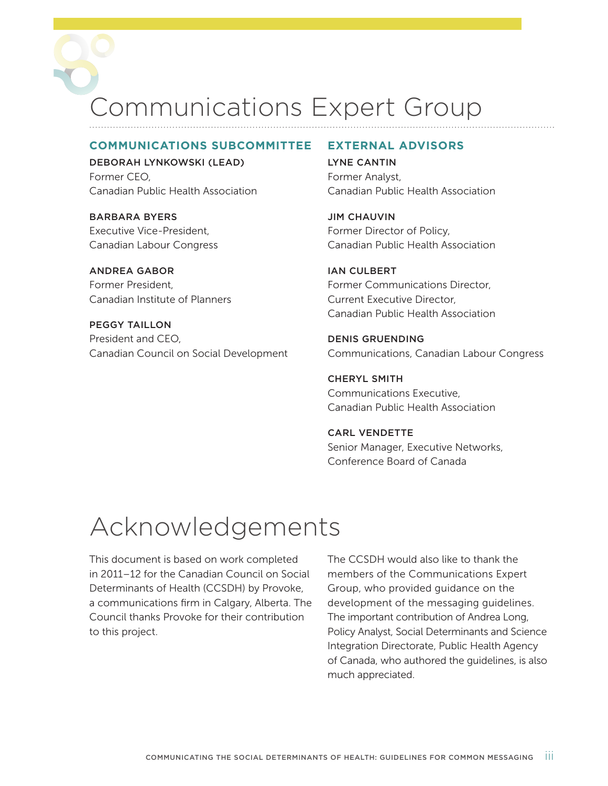Communications Expert Group

#### **COMMUNICATIONS SUBCOMMITTEE**

DEBORAH LYNKOWSKI (LEAD) Former CEO, Canadian Public Health Association

BARBARA BYERS Executive Vice-President, Canadian Labour Congress

ANDREA GABOR Former President, Canadian Institute of Planners

PEGGY TAILLON President and CEO, Canadian Council on Social Development

#### **EXTERNAL ADVISORS**

LYNE CANTIN Former Analyst, Canadian Public Health Association

JIM CHAUVIN Former Director of Policy, Canadian Public Health Association

**IAN CULBERT** Former Communications Director, Current Executive Director, Canadian Public Health Association

DENIS GRUENDING Communications, Canadian Labour Congress

CHERYL SMITH Communications Executive, Canadian Public Health Association

### CARL VENDETTE Senior Manager, Executive Networks, Conference Board of Canada

### Acknowledgements

This document is based on work completed in 2011–12 for the Canadian Council on Social Determinants of Health (CCSDH) by Provoke, a communications firm in Calgary, Alberta. The Council thanks Provoke for their contribution to this project.

The CCSDH would also like to thank the members of the Communications Expert Group, who provided guidance on the development of the messaging guidelines. The important contribution of Andrea Long, Policy Analyst, Social Determinants and Science Integration Directorate, Public Health Agency of Canada, who authored the guidelines, is also much appreciated.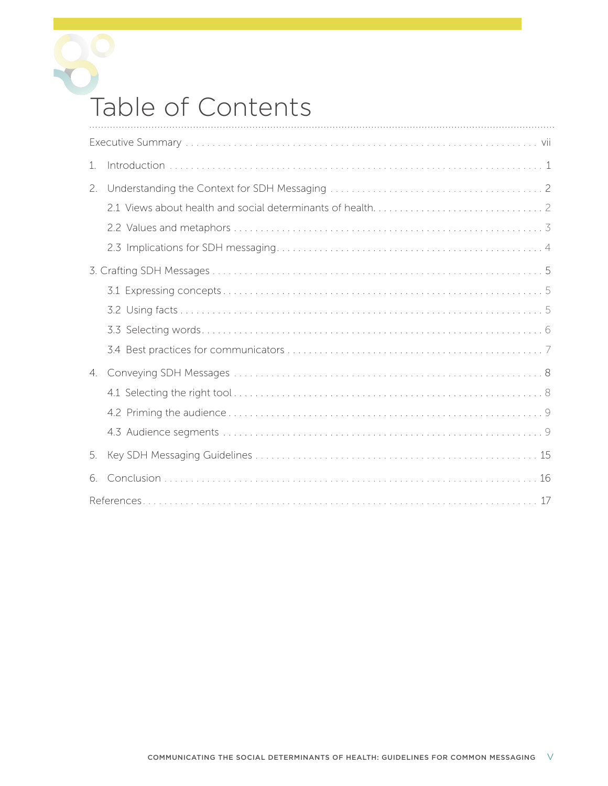

### Table of Contents

| 1. |  |
|----|--|
| 2. |  |
|    |  |
|    |  |
|    |  |
|    |  |
|    |  |
|    |  |
|    |  |
|    |  |
| 4. |  |
|    |  |
|    |  |
|    |  |
| 5. |  |
| 6. |  |
|    |  |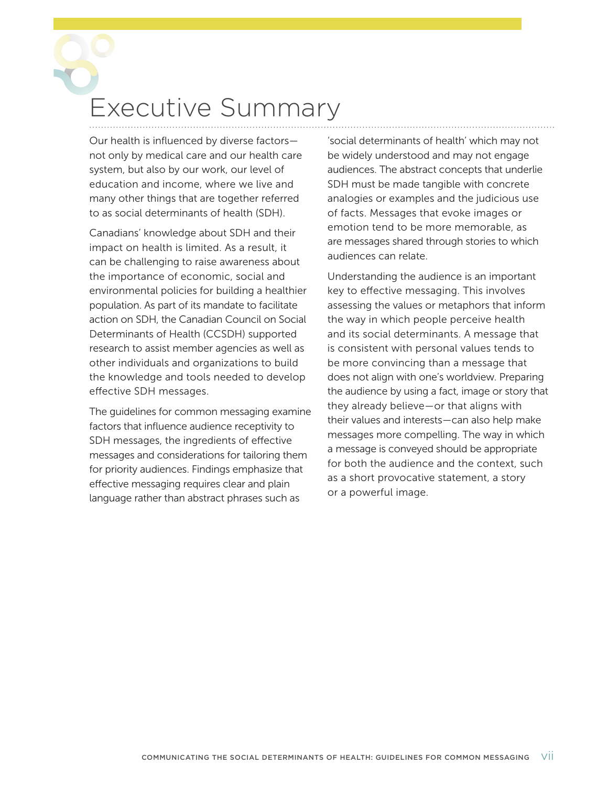## <span id="page-8-0"></span>Executive Summary

Our health is influenced by diverse factors not only by medical care and our health care system, but also by our work, our level of education and income, where we live and many other things that are together referred to as social determinants of health (SDH).

Canadians' knowledge about SDH and their impact on health is limited. As a result, it can be challenging to raise awareness about the importance of economic, social and environmental policies for building a healthier population. As part of its mandate to facilitate action on SDH, the Canadian Council on Social Determinants of Health (CCSDH) supported research to assist member agencies as well as other individuals and organizations to build the knowledge and tools needed to develop effective SDH messages.

The guidelines for common messaging examine factors that influence audience receptivity to SDH messages, the ingredients of effective messages and considerations for tailoring them for priority audiences. Findings emphasize that effective messaging requires clear and plain language rather than abstract phrases such as

'social determinants of health' which may not be widely understood and may not engage audiences. The abstract concepts that underlie SDH must be made tangible with concrete analogies or examples and the judicious use of facts. Messages that evoke images or emotion tend to be more memorable, as are messages shared through stories to which audiences can relate.

Understanding the audience is an important key to effective messaging. This involves assessing the values or metaphors that inform the way in which people perceive health and its social determinants. A message that is consistent with personal values tends to be more convincing than a message that does not align with one's worldview. Preparing the audience by using a fact, image or story that they already believe—or that aligns with their values and interests—can also help make messages more compelling. The way in which a message is conveyed should be appropriate for both the audience and the context, such as a short provocative statement, a story or a powerful image.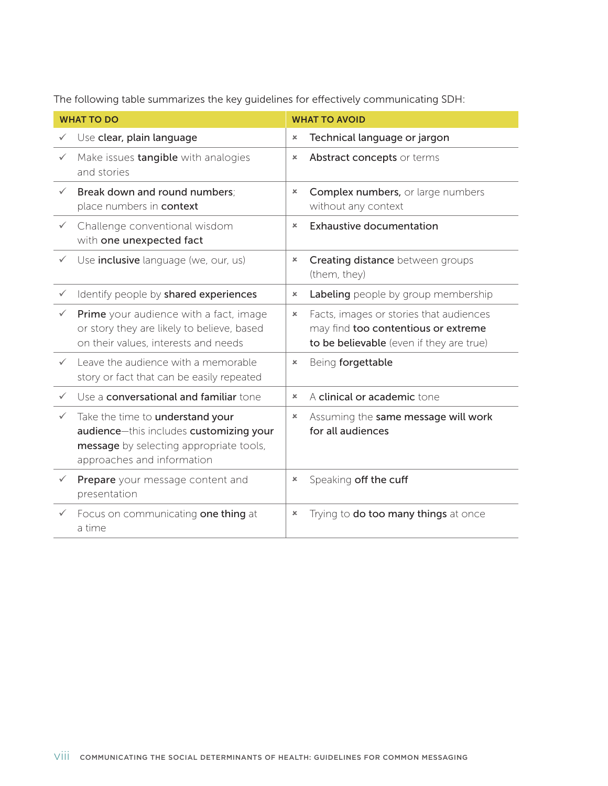The following table summarizes the key guidelines for effectively communicating SDH:

| <b>WHAT TO DO</b> |                                                                                                                                                      | <b>WHAT TO AVOID</b>  |                                                                                                                            |  |
|-------------------|------------------------------------------------------------------------------------------------------------------------------------------------------|-----------------------|----------------------------------------------------------------------------------------------------------------------------|--|
| $\checkmark$      | Use clear, plain language                                                                                                                            | $\pmb{\times}$        | Technical language or jargon                                                                                               |  |
| $\checkmark$      | Make issues tangible with analogies<br>and stories                                                                                                   | $\pmb{\times}$        | Abstract concepts or terms                                                                                                 |  |
| $\checkmark$      | Break down and round numbers;<br>place numbers in context                                                                                            | $\pmb{\times}$        | Complex numbers, or large numbers<br>without any context                                                                   |  |
| $\checkmark$      | Challenge conventional wisdom<br>with one unexpected fact                                                                                            | $\boldsymbol{\times}$ | <b>Exhaustive documentation</b>                                                                                            |  |
| $\checkmark$      | Use <i>inclusive</i> language (we, our, us)                                                                                                          | $\pmb{\times}$        | Creating distance between groups<br>(them, they)                                                                           |  |
| $\checkmark$      | Identify people by shared experiences                                                                                                                | $\pmb{\times}$        | Labeling people by group membership                                                                                        |  |
|                   | Prime your audience with a fact, image<br>or story they are likely to believe, based<br>on their values, interests and needs                         | $\pmb{\times}$        | Facts, images or stories that audiences<br>may find too contentious or extreme<br>to be believable (even if they are true) |  |
|                   | Leave the audience with a memorable<br>story or fact that can be easily repeated                                                                     | ×                     | Being forgettable                                                                                                          |  |
| $\checkmark$      | Use a <b>conversational and familiar</b> tone                                                                                                        | $\pmb{\times}$        | A clinical or academic tone                                                                                                |  |
| $\checkmark$      | Take the time to understand your<br>audience-this includes customizing your<br>message by selecting appropriate tools,<br>approaches and information | $\pmb{\times}$        | Assuming the same message will work<br>for all audiences                                                                   |  |
|                   | Prepare your message content and<br>presentation                                                                                                     | $\pmb{\times}$        | Speaking off the cuff                                                                                                      |  |
|                   | Focus on communicating one thing at<br>a time                                                                                                        | $\pmb{\times}$        | Trying to do too many things at once                                                                                       |  |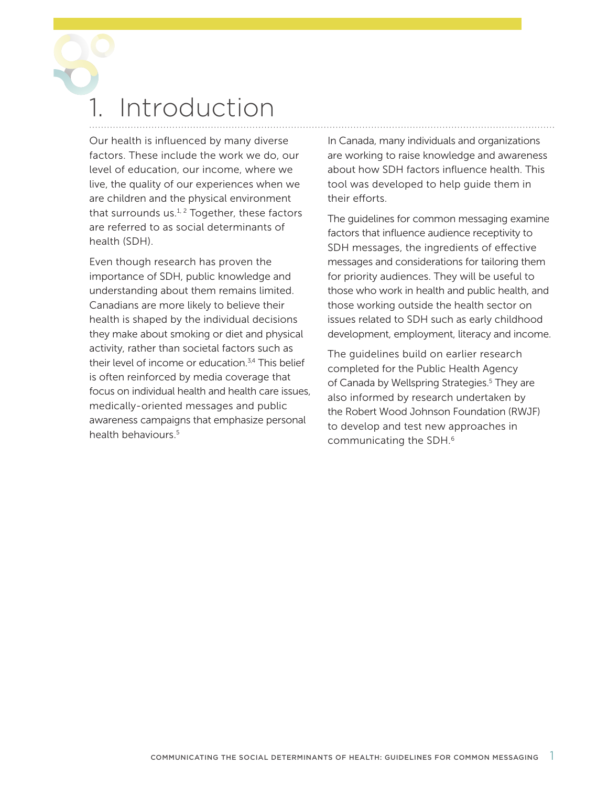# <span id="page-10-0"></span>**Introduction**

Our health is influenced by many diverse factors. These include the work we do, our level of education, our income, where we live, the quality of our experiences when we are children and the physical environment that surrounds us. $1, 2$  Together, these factors are referred to as social determinants of health (SDH).

Even though research has proven the importance of SDH, public knowledge and understanding about them remains limited. Canadians are more likely to believe their health is shaped by the individual decisions they make about smoking or diet and physical activity, rather than societal factors such as their level of income or education.<sup>3,4</sup> This belief is often reinforced by media coverage that focus on individual health and health care issues, medically-oriented messages and public awareness campaigns that emphasize personal health behaviours.<sup>5</sup>

In Canada, many individuals and organizations are working to raise knowledge and awareness about how SDH factors influence health. This tool was developed to help guide them in their efforts.

The guidelines for common messaging examine factors that influence audience receptivity to SDH messages, the ingredients of effective messages and considerations for tailoring them for priority audiences. They will be useful to those who work in health and public health, and those working outside the health sector on issues related to SDH such as early childhood development, employment, literacy and income.

The guidelines build on earlier research completed for the Public Health Agency of Canada by Wellspring Strategies.<sup>5</sup> They are also informed by research undertaken by the Robert Wood Johnson Foundation (RWJF) to develop and test new approaches in communicating the SDH[.6](#page-26-0)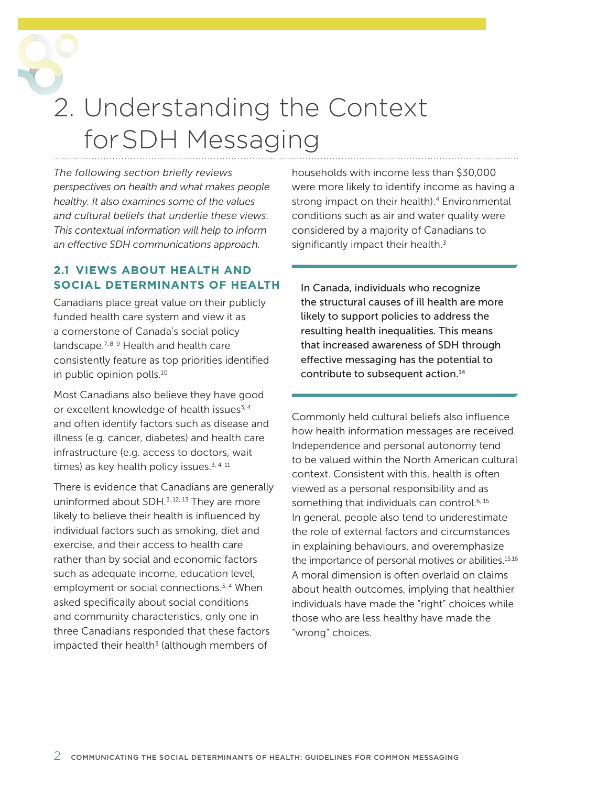<span id="page-11-0"></span>2. Understanding the Context forSDH Messaging

*The following section briefly reviews perspectives on health and what makes people healthy. It also examines some of the values and cultural beliefs that underlie these views. This contextual information will help to inform an effective SDH communications approach.*

### **2.1 VIEWS ABOUT HEALTH AND SOCIAL DETERMINANTS OF HEALTH**

Canadians place great value on their publicly funded health care system and view it as a cornerstone of Canada's social policy landscape. $7.8, 9$  Health and health care consistently feature as top priorities identified in public opinion polls.<sup>10</sup>

Most Canadians also believe they have good or excellent knowledge of health issues<sup>3, 4</sup> and often identify factors such as disease and illness (e.g. cancer, diabetes) and health care infrastructure (e.g. access to doctors, wait times) as key health policy issues. $3, 4, 11$  $3, 4, 11$ 

There is evidence that Canadians are generally uninformed about SDH. $^{3, 12, 13}$  $^{3, 12, 13}$  $^{3, 12, 13}$  They are more likely to believe their health is influenced by individual factors such as smoking, diet and exercise, and their access to health care rather than by social and economic factors such as adequate income, education level, employment or social connections.<sup>3, 4</sup> When asked specifically about social conditions and community characteristics, only one in three Canadians responded that these factors impacted their health $3$  (although members of

households with income less than \$30,000 were more likely to identify income as having a strong impact on their health).<sup>4</sup> Environmental conditions such as air and water quality were considered by a majority of Canadians to significantly impact their health.<sup>3</sup>

In Canada, individuals who recognize the structural causes of ill health are more likely to support policies to address the resulting health inequalities. This means that increased awareness of SDH through effective messaging has the potential to contribute to subsequent action[.14](#page-26-0)

Commonly held cultural beliefs also influence how health information messages are received. Independence and personal autonomy tend to be valued within the North American cultural context. Consistent with this, health is often viewed as a personal responsibility and as something that individuals can control.<sup>6, 15</sup> In general, people also tend to underestimate the role of external factors and circumstances in explaining behaviours, and overemphasize the importance of personal motives or abilities[.15,16](#page-26-0) A moral dimension is often overlaid on claims about health outcomes, implying that healthier individuals have made the "right" choices while those who are less healthy have made the "wrong" choices.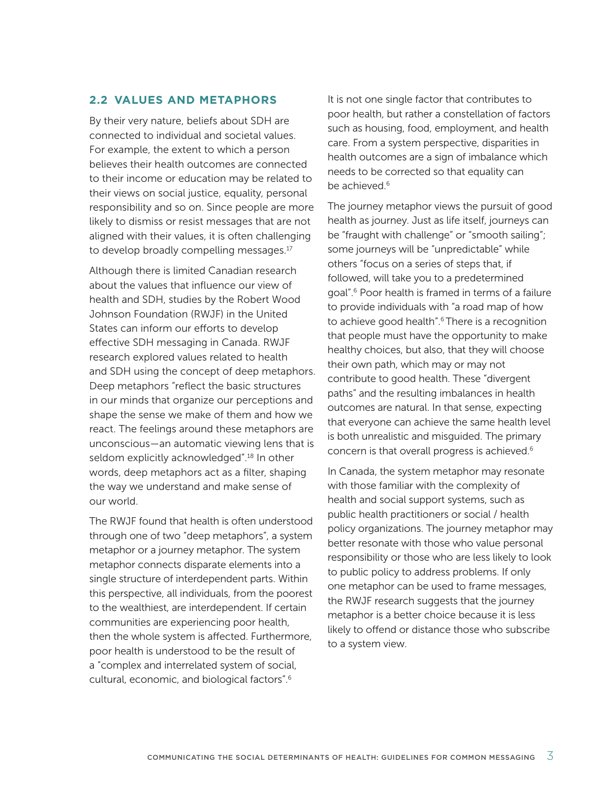### <span id="page-12-0"></span>**2.2 VALUES AND METAPHORS**

By their very nature, beliefs about SDH are connected to individual and societal values. For example, the extent to which a person believes their health outcomes are connected to their income or education may be related to their views on social justice, equality, personal responsibility and so on. Since people are more likely to dismiss or resist messages that are not aligned with their values, it is often challenging to develop broadly compelling messages.<sup>[17](#page-27-0)</sup>

Although there is limited Canadian research about the values that influence our view of health and SDH, studies by the Robert Wood Johnson Foundation (RWJF) in the United States can inform our efforts to develop effective SDH messaging in Canada. RWJF research explored values related to health and SDH using the concept of deep metaphors. Deep metaphors "reflect the basic structures in our minds that organize our perceptions and shape the sense we make of them and how we react. The feelings around these metaphors are unconscious—an automatic viewing lens that is seldom explicitly acknowledged".<sup>18</sup> In other words, deep metaphors act as a filter, shaping the way we understand and make sense of our world.

The RWJF found that health is often understood through one of two "deep metaphors", a system metaphor or a journey metaphor. The system metaphor connects disparate elements into a single structure of interdependent parts. Within this perspective, all individuals, from the poorest to the wealthiest, are interdependent. If certain communities are experiencing poor health, then the whole system is affected. Furthermore, poor health is understood to be the result of a "complex and interrelated system of social, cultural, economic, and biological factors"[.6](#page-26-0)

It is not one single factor that contributes to poor health, but rather a constellation of factors such as housing, food, employment, and health care. From a system perspective, disparities in health outcomes are a sign of imbalance which needs to be corrected so that equality can be achieved.<sup>6</sup>

The journey metaphor views the pursuit of good health as journey. Just as life itself, journeys can be "fraught with challenge" or "smooth sailing"; some journeys will be "unpredictable" while others "focus on a series of steps that, if followed, will take you to a predetermined goal"[.6](#page-26-0) Poor health is framed in terms of a failure to provide individuals with "a road map of how to achieve good health".<sup>6</sup> There is a recognition that people must have the opportunity to make healthy choices, but also, that they will choose their own path, which may or may not contribute to good health. These "divergent paths" and the resulting imbalances in health outcomes are natural. In that sense, expecting that everyone can achieve the same health level is both unrealistic and misguided. The primary concern is that overall progress is achieved[.6](#page-26-0)

In Canada, the system metaphor may resonate with those familiar with the complexity of health and social support systems, such as public health practitioners or social / health policy organizations. The journey metaphor may better resonate with those who value personal responsibility or those who are less likely to look to public policy to address problems. If only one metaphor can be used to frame messages, the RWJF research suggests that the journey metaphor is a better choice because it is less likely to offend or distance those who subscribe to a system view.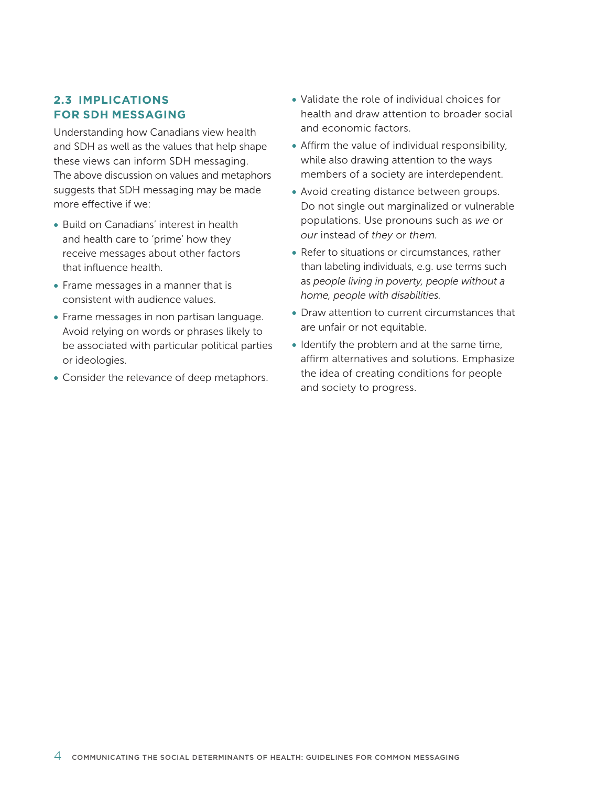### <span id="page-13-0"></span>**2.3 IMPLICATIONS FOR SDH MESSAGING**

Understanding how Canadians view health and SDH as well as the values that help shape these views can inform SDH messaging. The above discussion on values and metaphors suggests that SDH messaging may be made more effective if we:

- Build on Canadians' interest in health and health care to 'prime' how they receive messages about other factors that influence health.
- Frame messages in a manner that is consistent with audience values.
- Frame messages in non partisan language. Avoid relying on words or phrases likely to be associated with particular political parties or ideologies.
- Consider the relevance of deep metaphors.
- Validate the role of individual choices for health and draw attention to broader social and economic factors.
- Affirm the value of individual responsibility, while also drawing attention to the ways members of a society are interdependent.
- Avoid creating distance between groups. Do not single out marginalized or vulnerable populations. Use pronouns such as *we* or *our* instead of *they* or *them.*
- Refer to situations or circumstances, rather than labeling individuals, e.g. use terms such as *people living in poverty, people without a home, people with disabilities.*
- Draw attention to current circumstances that are unfair or not equitable.
- Identify the problem and at the same time, affirm alternatives and solutions. Emphasize the idea of creating conditions for people and society to progress.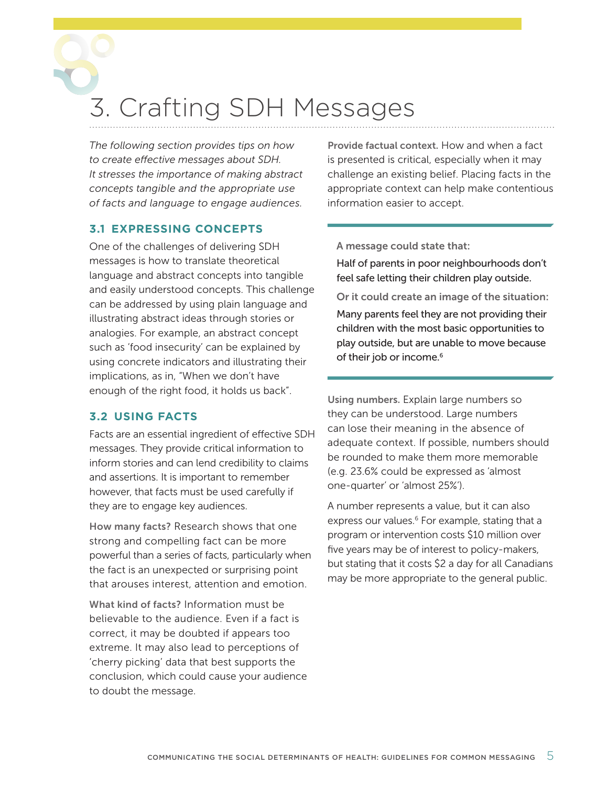## <span id="page-14-0"></span>3. Crafting SDH Messages

*The following section provides tips on how to create effective messages about SDH. It stresses the importance of making abstract concepts tangible and the appropriate use of facts and language to engage audiences.*

### **3.1 EXPRESSING CONCEPTS**

One of the challenges of delivering SDH messages is how to translate theoretical language and abstract concepts into tangible and easily understood concepts. This challenge can be addressed by using plain language and illustrating abstract ideas through stories or analogies. For example, an abstract concept such as 'food insecurity' can be explained by using concrete indicators and illustrating their implications, as in, "When we don't have enough of the right food, it holds us back".

### **3.2 USING FACTS**

Facts are an essential ingredient of effective SDH messages. They provide critical information to inform stories and can lend credibility to claims and assertions. It is important to remember however, that facts must be used carefully if they are to engage key audiences.

How many facts? Research shows that one strong and compelling fact can be more powerful than a series of facts, particularly when the fact is an unexpected or surprising point that arouses interest, attention and emotion.

What kind of facts? Information must be believable to the audience. Even if a fact is correct, it may be doubted if appears too extreme. It may also lead to perceptions of 'cherry picking' data that best supports the conclusion, which could cause your audience to doubt the message.

Provide factual context. How and when a fact is presented is critical, especially when it may challenge an existing belief. Placing facts in the appropriate context can help make contentious information easier to accept.

A message could state that:

Half of parents in poor neighbourhoods don't feel safe letting their children play outside.

Or it could create an image of the situation: Many parents feel they are not providing their children with the most basic opportunities to play outside, but are unable to move because of their job or income.<sup>[6](#page-26-0)</sup>

Using numbers. Explain large numbers so they can be understood. Large numbers can lose their meaning in the absence of adequate context. If possible, numbers should be rounded to make them more memorable (e.g. 23.6% could be expressed as 'almost one-quarter' or 'almost 25%').

A number represents a value, but it can also express our values.<sup>6</sup> For example, stating that a program or intervention costs \$10 million over five years may be of interest to policy-makers, but stating that it costs \$2 a day for all Canadians may be more appropriate to the general public.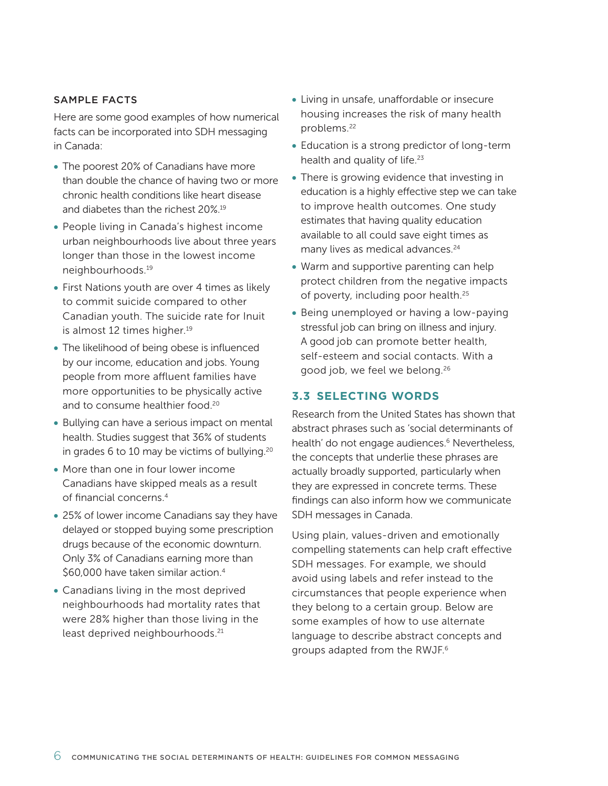#### <span id="page-15-0"></span>SAMPLE FACTS

Here are some good examples of how numerical facts can be incorporated into SDH messaging in Canada:

- The poorest 20% of Canadians have more than double the chance of having two or more chronic health conditions like heart disease and diabetes than the richest 20%[.19](#page-27-0)
- People living in Canada's highest income urban neighbourhoods live about three years longer than those in the lowest income neighbourhood[s.19](#page-27-0)
- First Nations youth are over 4 times as likely to commit suicide compared to other Canadian youth. The suicide rate for Inuit is almost 12 times higher.<sup>19</sup>
- The likelihood of being obese is influenced by our income, education and jobs. Young people from more affluent families have more opportunities to be physically active and to consume healthier food[.20](#page-27-0)
- Bullying can have a serious impact on mental health. Studies suggest that 36% of students in grades 6 to 10 may be victims of bullying[.20](#page-27-0)
- More than one in four lower income Canadians have skipped meals as a result of financial concerns[.4](#page-26-0)
- 25% of lower income Canadians say they have delayed or stopped buying some prescription drugs because of the economic downturn. Only 3% of Canadians earning more than \$60,000 have taken similar action.<sup>4</sup>
- Canadians living in the most deprived neighbourhoods had mortality rates that were 28% higher than those living in the least deprived neighbourhoods.<sup>21</sup>
- Living in unsafe, unaffordable or insecure housing increases the risk of many health problems[.22](#page-27-0)
- Education is a strong predictor of long-term health and quality of life. $23$
- There is growing evidence that investing in education is a highly effective step we can take to improve health outcomes. One study estimates that having quality education available to all could save eight times as many lives as medical advances.<sup>24</sup>
- Warm and supportive parenting can help protect children from the negative impacts of poverty, including poor health.<sup>25</sup>
- Being unemployed or having a low-paying stressful job can bring on illness and injury. A good job can promote better health, self-esteem and social contacts. With a good job, we feel we belong[.26](#page-27-0)

### **3.3 SELECTING WORDS**

Research from the United States has shown that abstract phrases such as 'social determinants of health' do not engage audiences.<sup>6</sup> Nevertheless, the concepts that underlie these phrases are actually broadly supported, particularly when they are expressed in concrete terms. These findings can also inform how we communicate SDH messages in Canada.

Using plain, values-driven and emotionally compelling statements can help craft effective SDH messages. For example, we should avoid using labels and refer instead to the circumstances that people experience when they belong to a certain group. Below are some examples of how to use alternate language to describe abstract concepts and groups adapted from the RWJ[F.6](#page-26-0)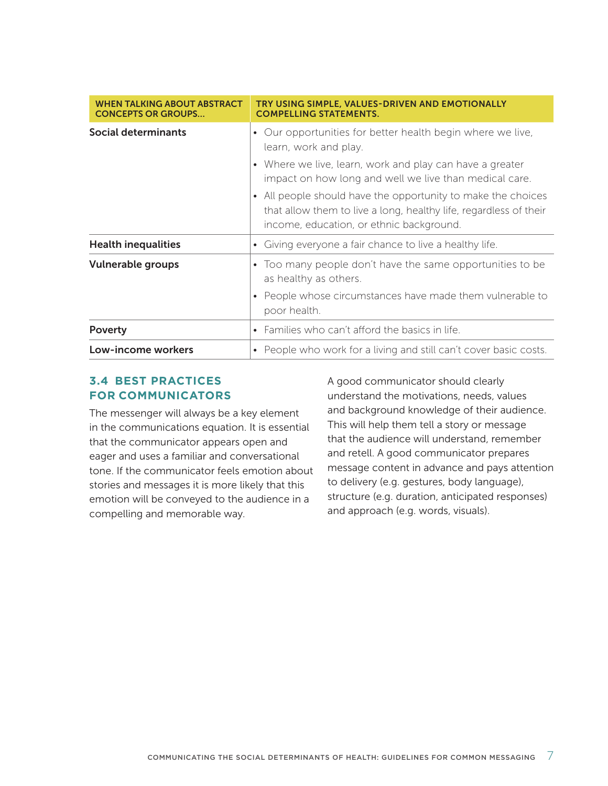<span id="page-16-0"></span>

| <b>WHEN TALKING ABOUT ABSTRACT</b><br><b>CONCEPTS OR GROUPS</b> | TRY USING SIMPLE, VALUES-DRIVEN AND EMOTIONALLY<br><b>COMPELLING STATEMENTS.</b>                                                                                                                                                                                                                                                                                                           |
|-----------------------------------------------------------------|--------------------------------------------------------------------------------------------------------------------------------------------------------------------------------------------------------------------------------------------------------------------------------------------------------------------------------------------------------------------------------------------|
| <b>Social determinants</b>                                      | • Our opportunities for better health begin where we live,<br>learn, work and play.<br>• Where we live, learn, work and play can have a greater<br>impact on how long and well we live than medical care.<br>• All people should have the opportunity to make the choices<br>that allow them to live a long, healthy life, regardless of their<br>income, education, or ethnic background. |
| <b>Health inequalities</b>                                      | • Giving everyone a fair chance to live a healthy life.                                                                                                                                                                                                                                                                                                                                    |
| <b>Vulnerable groups</b>                                        | • Too many people don't have the same opportunities to be<br>as healthy as others.<br>• People whose circumstances have made them vulnerable to<br>poor health.                                                                                                                                                                                                                            |
| <b>Poverty</b>                                                  | • Families who can't afford the basics in life.                                                                                                                                                                                                                                                                                                                                            |
| Low-income workers                                              | • People who work for a living and still can't cover basic costs.                                                                                                                                                                                                                                                                                                                          |

### **3.4 BEST PRACTICES FOR COMMUNICATORS**

The messenger will always be a key element in the communications equation. It is essential that the communicator appears open and eager and uses a familiar and conversational tone. If the communicator feels emotion about stories and messages it is more likely that this emotion will be conveyed to the audience in a compelling and memorable way.

A good communicator should clearly understand the motivations, needs, values and background knowledge of their audience. This will help them tell a story or message that the audience will understand, remember and retell. A good communicator prepares message content in advance and pays attention to delivery (e.g. gestures, body language), structure (e.g. duration, anticipated responses) and approach (e.g. words, visuals).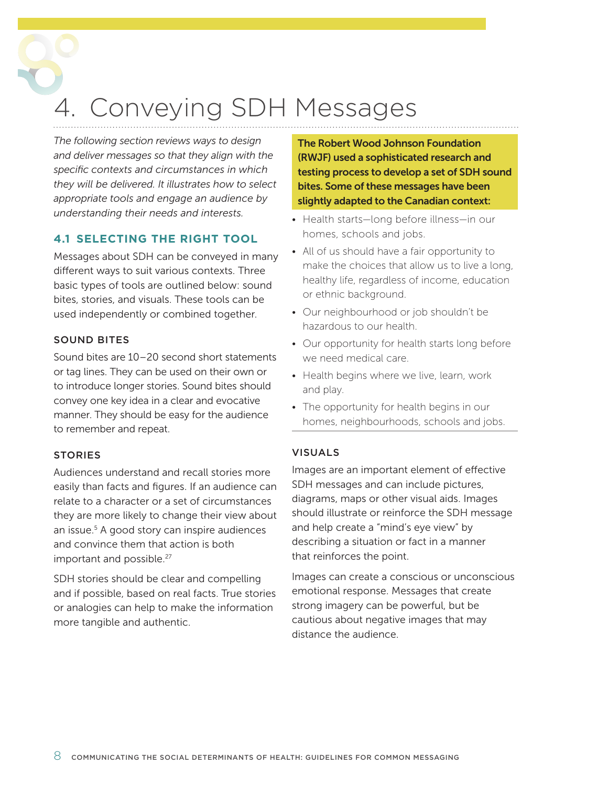## <span id="page-17-0"></span>4. Conveying SDH Messages

*The following section reviews ways to design and deliver messages so that they align with the specific contexts and circumstances in which they will be delivered. It illustrates how to select appropriate tools and engage an audience by understanding their needs and interests.*

### **4.1 SELECTING THE RIGHT TOOL**

Messages about SDH can be conveyed in many different ways to suit various contexts. Three basic types of tools are outlined below: sound bites, stories, and visuals. These tools can be used independently or combined together.

### SOUND BITES

Sound bites are 10–20 second short statements or tag lines. They can be used on their own or to introduce longer stories. Sound bites should convey one key idea in a clear and evocative manner. They should be easy for the audience to remember and repeat.

### **STORIES**

Audiences understand and recall stories more easily than facts and figures. If an audience can relate to a character or a set of circumstances they are more likely to change their view about an issue[.5](#page-26-0) A good story can inspire audiences and convince them that action is both important and possible.<sup>[27](#page-27-0)</sup>

SDH stories should be clear and compelling and if possible, based on real facts. True stories or analogies can help to make the information more tangible and authentic.

The Robert Wood Johnson Foundation (RWJF) used a sophisticated research and testing process to develop a set of SDH sound bites. Some of these messages have been slightly adapted to the Canadian context:

- Health starts-long before illness-in our homes, schools and jobs.
- All of us should have a fair opportunity to make the choices that allow us to live a long, healthy life, regardless of income, education or ethnic background.
- Our neighbourhood or job shouldn't be hazardous to our health.
- Our opportunity for health starts long before we need medical care.
- Health begins where we live, learn, work and play.
- The opportunity for health begins in our homes, neighbourhoods, schools and jobs.

### VISUALS

Images are an important element of effective SDH messages and can include pictures, diagrams, maps or other visual aids. Images should illustrate or reinforce the SDH message and help create a "mind's eye view" by describing a situation or fact in a manner that reinforces the point.

Images can create a conscious or unconscious emotional response. Messages that create strong imagery can be powerful, but be cautious about negative images that may distance the audience.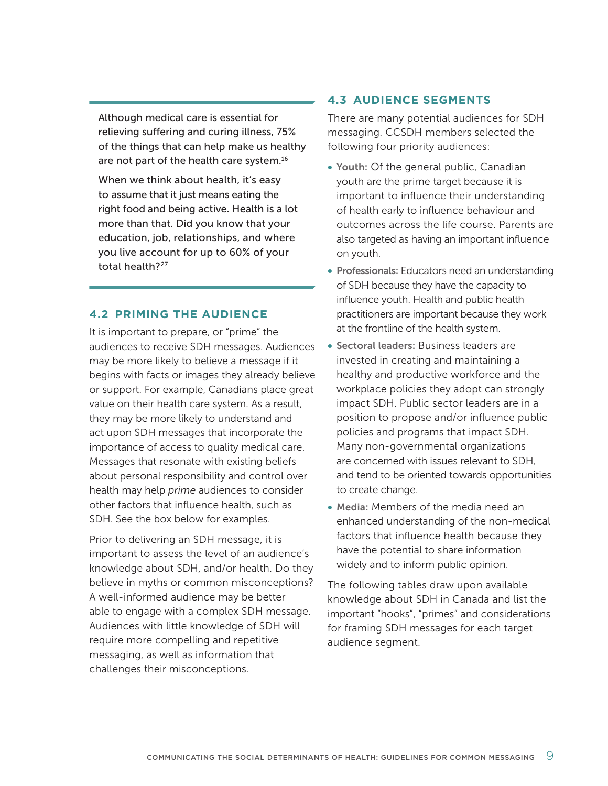<span id="page-18-0"></span>Although medical care is essential for relieving suffering and curing illness, 75% of the things that can help make us healthy are not part of the health care system.<sup>16</sup>

When we think about health, it's easy to assume that it just means eating the right food and being active. Health is a lot more than that. Did you know that your education, job, relationships, and where you live account for up to 60% of your total health?<sup>[27](#page-27-0)</sup>

### **4.2 PRIMING THE AUDIENCE**

It is important to prepare, or "prime" the audiences to receive SDH messages. Audiences may be more likely to believe a message if it begins with facts or images they already believe or support. For example, Canadians place great value on their health care system. As a result, they may be more likely to understand and act upon SDH messages that incorporate the importance of access to quality medical care. Messages that resonate with existing beliefs about personal responsibility and control over health may help *prime* audiences to consider other factors that influence health, such as SDH. See the box below for examples.

Prior to delivering an SDH message, it is important to assess the level of an audience's knowledge about SDH, and/or health. Do they believe in myths or common misconceptions? A well-informed audience may be better able to engage with a complex SDH message. Audiences with little knowledge of SDH will require more compelling and repetitive messaging, as well as information that challenges their misconceptions.

### **4.3 AUDIENCE SEGMENTS**

There are many potential audiences for SDH messaging. CCSDH members selected the following four priority audiences:

- Youth: Of the general public, Canadian youth are the prime target because it is important to influence their understanding of health early to influence behaviour and outcomes across the life course. Parents are also targeted as having an important influence on youth.
- Professionals: Educators need an understanding of SDH because they have the capacity to influence youth. Health and public health practitioners are important because they work at the frontline of the health system.
- Sectoral leaders: Business leaders are invested in creating and maintaining a healthy and productive workforce and the workplace policies they adopt can strongly impact SDH. Public sector leaders are in a position to propose and/or influence public policies and programs that impact SDH. Many non-governmental organizations are concerned with issues relevant to SDH, and tend to be oriented towards opportunities to create change.
- Media: Members of the media need an enhanced understanding of the non-medical factors that influence health because they have the potential to share information widely and to inform public opinion.

The following tables draw upon available knowledge about SDH in Canada and list the important "hooks", "primes" and considerations for framing SDH messages for each target audience segment.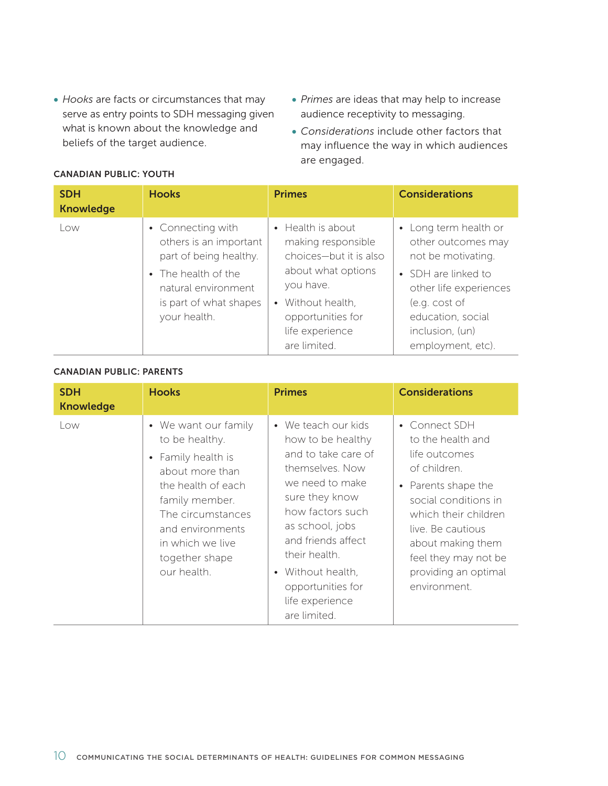- • *Hooks* are facts or circumstances that may serve as entry points to SDH messaging given what is known about the knowledge and beliefs of the target audience.
- • *Primes* are ideas that may help to increase audience receptivity to messaging.
- • *Considerations* include other factors that may influence the way in which audiences are engaged.

| <b>SDH</b><br><b>Knowledge</b> | <b>Hooks</b>                                                                                                                                                  | <b>Primes</b>                                                                                                                                                                     | <b>Considerations</b>                                                                                                                                                                            |
|--------------------------------|---------------------------------------------------------------------------------------------------------------------------------------------------------------|-----------------------------------------------------------------------------------------------------------------------------------------------------------------------------------|--------------------------------------------------------------------------------------------------------------------------------------------------------------------------------------------------|
| Low                            | • Connecting with<br>others is an important<br>part of being healthy.<br>• The health of the<br>natural environment<br>is part of what shapes<br>your health. | • Health is about<br>making responsible<br>choices-but it is also<br>about what options<br>you have.<br>• Without health,<br>opportunities for<br>life experience<br>are limited. | • Long term health or<br>other outcomes may<br>not be motivating.<br>• SDH are linked to<br>other life experiences<br>(e.g. cost of<br>education, social<br>inclusion, (un)<br>employment, etc). |

### CANADIAN PUBLIC: YOUTH

### CANADIAN PUBLIC: PARENTS

| <b>SDH</b><br><b>Knowledge</b> | <b>Hooks</b>                                                                                                                                                                                                          | <b>Primes</b>                                                                                                                                                                                                                                                                      | <b>Considerations</b>                                                                                                                                                                                                                                |
|--------------------------------|-----------------------------------------------------------------------------------------------------------------------------------------------------------------------------------------------------------------------|------------------------------------------------------------------------------------------------------------------------------------------------------------------------------------------------------------------------------------------------------------------------------------|------------------------------------------------------------------------------------------------------------------------------------------------------------------------------------------------------------------------------------------------------|
| Low                            | • We want our family<br>to be healthy.<br>• Family health is<br>about more than<br>the health of each<br>family member.<br>The circumstances<br>and environments<br>in which we live<br>together shape<br>our health. | • We teach our kids<br>how to be healthy<br>and to take care of<br>themselves. Now<br>we need to make<br>sure they know<br>how factors such<br>as school, jobs<br>and friends affect<br>their health.<br>• Without health,<br>opportunities for<br>life experience<br>are limited. | • Connect SDH<br>to the health and<br>life outcomes<br>of children.<br>• Parents shape the<br>social conditions in<br>which their children<br>live. Be cautious<br>about making them<br>feel they may not be<br>providing an optimal<br>environment. |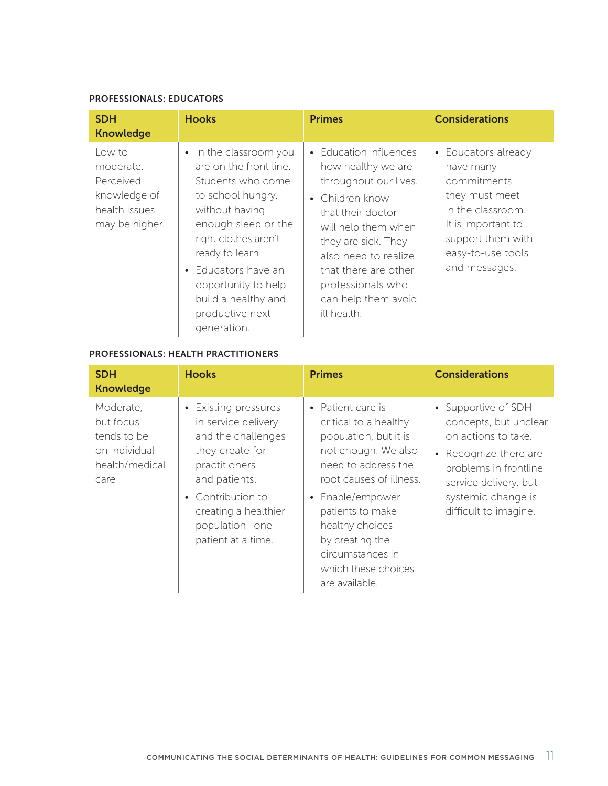#### PROFESSIONALS: EDUCATORS

| <b>SDH</b><br><b>Knowledge</b>                                                      | <b>Hooks</b>                                                                                                                                                                                                                                                                                     | <b>Primes</b>                                                                                                                                                                                                                                                          | <b>Considerations</b>                                                                                                                                                   |
|-------------------------------------------------------------------------------------|--------------------------------------------------------------------------------------------------------------------------------------------------------------------------------------------------------------------------------------------------------------------------------------------------|------------------------------------------------------------------------------------------------------------------------------------------------------------------------------------------------------------------------------------------------------------------------|-------------------------------------------------------------------------------------------------------------------------------------------------------------------------|
| Low to<br>moderate.<br>Perceived<br>knowledge of<br>health issues<br>may be higher. | • In the classroom you<br>are on the front line.<br>Students who come<br>to school hungry,<br>without having<br>enough sleep or the<br>right clothes aren't<br>ready to learn.<br>Educators have an<br>$\bullet$<br>opportunity to help<br>build a healthy and<br>productive next<br>generation. | • Education influences<br>how healthy we are<br>throughout our lives.<br>• Children know<br>that their doctor<br>will help them when<br>they are sick. They<br>also need to realize<br>that there are other<br>professionals who<br>can help them avoid<br>ill health. | • Educators already<br>have many<br>commitments<br>they must meet<br>in the classroom.<br>It is important to<br>support them with<br>easy-to-use tools<br>and messages. |

### PROFESSIONALS: HEALTH PRACTITIONERS

| <b>SDH</b><br><b>Knowledge</b>                                                   | <b>Hooks</b>                                                                                                                                                                                                | <b>Primes</b>                                                                                                                                                                                                                                                                           | <b>Considerations</b>                                                                                                                                                                       |
|----------------------------------------------------------------------------------|-------------------------------------------------------------------------------------------------------------------------------------------------------------------------------------------------------------|-----------------------------------------------------------------------------------------------------------------------------------------------------------------------------------------------------------------------------------------------------------------------------------------|---------------------------------------------------------------------------------------------------------------------------------------------------------------------------------------------|
| Moderate,<br>but focus<br>tends to be<br>on individual<br>health/medical<br>care | • Existing pressures<br>in service delivery<br>and the challenges<br>they create for<br>practitioners<br>and patients.<br>• Contribution to<br>creating a healthier<br>population-one<br>patient at a time. | • Patient care is<br>critical to a healthy<br>population, but it is<br>not enough. We also<br>need to address the<br>root causes of illness.<br>• Enable/empower<br>patients to make<br>healthy choices<br>by creating the<br>circumstances in<br>which these choices<br>are available. | • Supportive of SDH<br>concepts, but unclear<br>on actions to take.<br>Recognize there are<br>problems in frontline<br>service delivery, but<br>systemic change is<br>difficult to imagine. |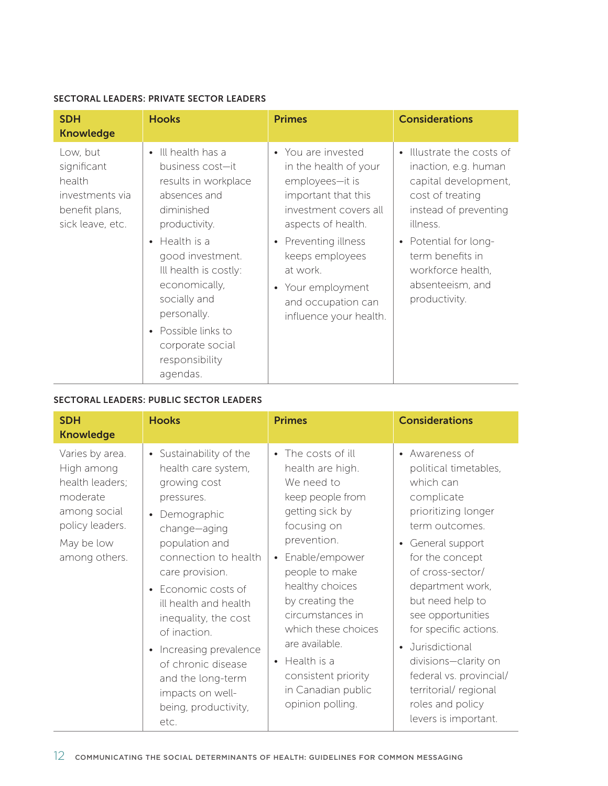### SECTORAL LEADERS: PRIVATE SECTOR LEADERS

| <b>SDH</b><br><b>Knowledge</b>                                                             | <b>Hooks</b>                                                                                                                                                                                                                                                                                                                          | <b>Primes</b>                                                                                                                                                                                                                                                    | <b>Considerations</b>                                                                                                                                                                                                                                |
|--------------------------------------------------------------------------------------------|---------------------------------------------------------------------------------------------------------------------------------------------------------------------------------------------------------------------------------------------------------------------------------------------------------------------------------------|------------------------------------------------------------------------------------------------------------------------------------------------------------------------------------------------------------------------------------------------------------------|------------------------------------------------------------------------------------------------------------------------------------------------------------------------------------------------------------------------------------------------------|
| Low, but<br>significant<br>health<br>investments via<br>benefit plans,<br>sick leave, etc. | Ill health has a<br>$\bullet$<br>business cost-it<br>results in workplace<br>absences and<br>diminished<br>productivity.<br>Health is a<br>$\bullet$<br>good investment.<br>Ill health is costly:<br>economically,<br>socially and<br>personally.<br>Possible links to<br>$\bullet$<br>corporate social<br>responsibility<br>agendas. | • You are invested<br>in the health of your<br>employees-it is<br>important that this<br>investment covers all<br>aspects of health.<br>• Preventing illness<br>keeps employees<br>at work.<br>• Your employment<br>and occupation can<br>influence your health. | Illustrate the costs of<br>$\bullet$<br>inaction, e.g. human<br>capital development,<br>cost of treating<br>instead of preventing<br>illness.<br>• Potential for long-<br>term benefits in<br>workforce health,<br>absenteeism, and<br>productivity. |

### SECTORAL LEADERS: PUBLIC SECTOR LEADERS

| <b>SDH</b><br><b>Knowledge</b>                                                                                                 | <b>Hooks</b>                                                                                                                                                                                                                                                                                                                                                                                                     | <b>Primes</b>                                                                                                                                                                                                                                                                                                                                                | <b>Considerations</b>                                                                                                                                                                                                                                                                                                                                                                                  |
|--------------------------------------------------------------------------------------------------------------------------------|------------------------------------------------------------------------------------------------------------------------------------------------------------------------------------------------------------------------------------------------------------------------------------------------------------------------------------------------------------------------------------------------------------------|--------------------------------------------------------------------------------------------------------------------------------------------------------------------------------------------------------------------------------------------------------------------------------------------------------------------------------------------------------------|--------------------------------------------------------------------------------------------------------------------------------------------------------------------------------------------------------------------------------------------------------------------------------------------------------------------------------------------------------------------------------------------------------|
| Varies by area.<br>High among<br>health leaders;<br>moderate<br>among social<br>policy leaders.<br>May be low<br>among others. | • Sustainability of the<br>health care system,<br>growing cost<br>pressures.<br>Demographic<br>$\bullet$<br>change-aging<br>population and<br>connection to health<br>care provision.<br>Economic costs of<br>ill health and health<br>inequality, the cost<br>of inaction.<br>Increasing prevalence<br>$\bullet$<br>of chronic disease<br>and the long-term<br>impacts on well-<br>being, productivity,<br>etc. | • The costs of ill<br>health are high.<br>We need to<br>keep people from<br>getting sick by<br>focusing on<br>prevention.<br>• Enable/empower<br>people to make<br>healthy choices<br>by creating the<br>circumstances in<br>which these choices<br>are available.<br>$\bullet$ Health is a<br>consistent priority<br>in Canadian public<br>opinion polling. | • Awareness of<br>political timetables,<br>which can<br>complicate<br>prioritizing longer<br>term outcomes.<br>• General support<br>for the concept<br>of cross-sector/<br>department work,<br>but need help to<br>see opportunities<br>for specific actions.<br>Jurisdictional<br>divisions-clarity on<br>federal vs. provincial/<br>territorial/regional<br>roles and policy<br>levers is important. |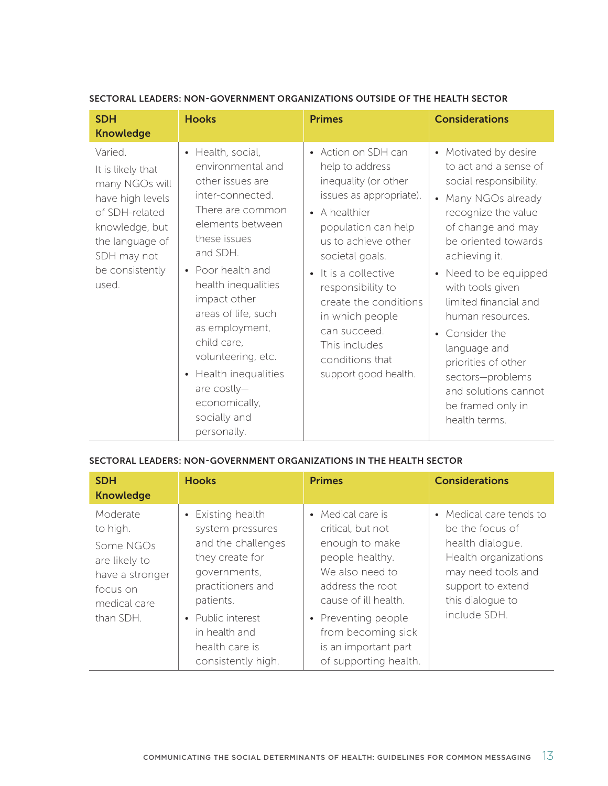| <b>SDH</b><br><b>Knowledge</b>                                                                                                                                       | <b>Hooks</b>                                                                                                                                                                                                                                                                                                                                                                                               | <b>Primes</b>                                                                                                                                                                                                                                                                                                                                    | <b>Considerations</b>                                                                                                                                                                                                                                                                                                                                                                                                |
|----------------------------------------------------------------------------------------------------------------------------------------------------------------------|------------------------------------------------------------------------------------------------------------------------------------------------------------------------------------------------------------------------------------------------------------------------------------------------------------------------------------------------------------------------------------------------------------|--------------------------------------------------------------------------------------------------------------------------------------------------------------------------------------------------------------------------------------------------------------------------------------------------------------------------------------------------|----------------------------------------------------------------------------------------------------------------------------------------------------------------------------------------------------------------------------------------------------------------------------------------------------------------------------------------------------------------------------------------------------------------------|
| Varied.<br>It is likely that<br>many NGOs will<br>have high levels<br>of SDH-related<br>knowledge, but<br>the language of<br>SDH may not<br>be consistently<br>used. | Health, social,<br>$\bullet$<br>environmental and<br>other issues are<br>inter-connected.<br>There are common<br>elements between<br>these issues<br>and SDH.<br>• Poor health and<br>health inequalities<br>impact other<br>areas of life, such<br>as employment,<br>child care,<br>volunteering, etc.<br>Health inequalities<br>$\bullet$<br>are costly-<br>economically,<br>socially and<br>personally. | • Action on SDH can<br>help to address<br>inequality (or other<br>issues as appropriate).<br>• A healthier<br>population can help<br>us to achieve other<br>societal goals.<br>• It is a collective<br>responsibility to<br>create the conditions<br>in which people<br>can succeed.<br>This includes<br>conditions that<br>support good health. | • Motivated by desire<br>to act and a sense of<br>social responsibility.<br>• Many NGOs already<br>recognize the value<br>of change and may<br>be oriented towards<br>achieving it.<br>Need to be equipped<br>with tools given<br>limited financial and<br>human resources.<br>Consider the<br>language and<br>priorities of other<br>sectors-problems<br>and solutions cannot<br>be framed only in<br>health terms. |

### SECTORAL LEADERS: NON-GOVERNMENT ORGANIZATIONS OUTSIDE OF THE HEALTH SECTOR

### SECTORAL LEADERS: NON-GOVERNMENT ORGANIZATIONS IN THE HEALTH SECTOR

| <b>SDH</b><br><b>Knowledge</b>                                                                                 | <b>Hooks</b>                                                                                                                                                                                                              | <b>Primes</b>                                                                                                                                                                                                                            | <b>Considerations</b>                                                                                                                                                 |
|----------------------------------------------------------------------------------------------------------------|---------------------------------------------------------------------------------------------------------------------------------------------------------------------------------------------------------------------------|------------------------------------------------------------------------------------------------------------------------------------------------------------------------------------------------------------------------------------------|-----------------------------------------------------------------------------------------------------------------------------------------------------------------------|
| Moderate<br>to high.<br>Some NGOs<br>are likely to<br>have a stronger<br>focus on<br>medical care<br>than SDH. | • Existing health<br>system pressures<br>and the challenges<br>they create for<br>governments,<br>practitioners and<br>patients.<br>Public interest<br>$\bullet$<br>in health and<br>health care is<br>consistently high. | • Medical care is<br>critical, but not<br>enough to make<br>people healthy.<br>We also need to<br>address the root<br>cause of ill health.<br>• Preventing people<br>from becoming sick<br>is an important part<br>of supporting health. | • Medical care tends to<br>be the focus of<br>health dialogue.<br>Health organizations<br>may need tools and<br>support to extend<br>this dialogue to<br>include SDH. |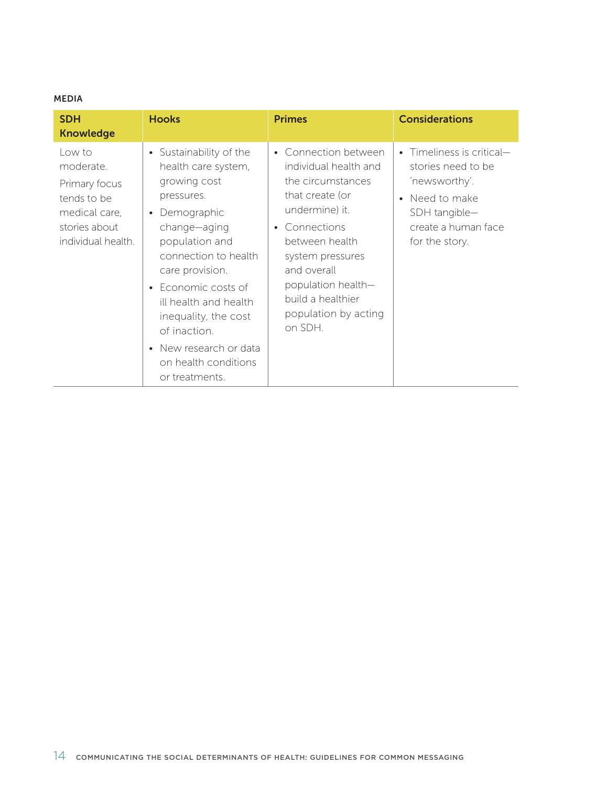### MEDIA

| <b>SDH</b><br><b>Knowledge</b>                                                                              | <b>Hooks</b>                                                                                                                                                                                                                                                                                                                           | <b>Primes</b>                                                                                                                                                                                                                                               | <b>Considerations</b>                                                                                                                      |
|-------------------------------------------------------------------------------------------------------------|----------------------------------------------------------------------------------------------------------------------------------------------------------------------------------------------------------------------------------------------------------------------------------------------------------------------------------------|-------------------------------------------------------------------------------------------------------------------------------------------------------------------------------------------------------------------------------------------------------------|--------------------------------------------------------------------------------------------------------------------------------------------|
| Low to<br>moderate.<br>Primary focus<br>tends to be<br>medical care,<br>stories about<br>individual health. | • Sustainability of the<br>health care system,<br>growing cost<br>pressures.<br>• Demographic<br>change-aging<br>population and<br>connection to health<br>care provision.<br>• Economic costs of<br>ill health and health<br>inequality, the cost<br>of inaction.<br>• New research or data<br>on health conditions<br>or treatments. | • Connection between<br>individual health and<br>the circumstances<br>that create (or<br>undermine) it.<br>• Connections<br>between health<br>system pressures<br>and overall<br>population health-<br>build a healthier<br>population by acting<br>on SDH. | • Timeliness is critical-<br>stories need to be<br>'newsworthy'.<br>Need to make<br>SDH tangible-<br>create a human face<br>for the story. |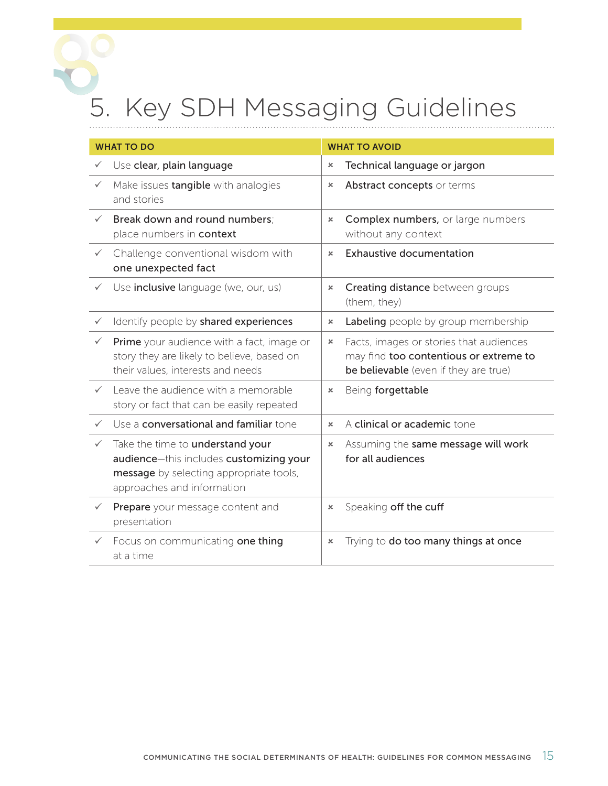## <span id="page-24-0"></span>5. Key SDH Messaging Guidelines

| <b>WHAT TO DO</b> |                                                                                                                                                      | <b>WHAT TO AVOID</b>      |                                                                                                                            |
|-------------------|------------------------------------------------------------------------------------------------------------------------------------------------------|---------------------------|----------------------------------------------------------------------------------------------------------------------------|
|                   | Use clear, plain language                                                                                                                            | $\boldsymbol{\mathsf{x}}$ | Technical language or jargon                                                                                               |
| $\checkmark$      | Make issues tangible with analogies<br>and stories                                                                                                   | ×                         | Abstract concepts or terms                                                                                                 |
| $\checkmark$      | Break down and round numbers:<br>place numbers in context                                                                                            | ×                         | Complex numbers, or large numbers<br>without any context                                                                   |
| $\checkmark$      | Challenge conventional wisdom with<br>one unexpected fact                                                                                            | $\boldsymbol{\mathsf{x}}$ | <b>Exhaustive documentation</b>                                                                                            |
| $\checkmark$      | Use <i>inclusive</i> language (we, our, us)                                                                                                          | ×                         | Creating distance between groups<br>(them, they)                                                                           |
| $\checkmark$      | Identify people by shared experiences                                                                                                                | $\boldsymbol{\mathsf{x}}$ | Labeling people by group membership                                                                                        |
| $\checkmark$      | Prime your audience with a fact, image or<br>story they are likely to believe, based on<br>their values, interests and needs                         | ×                         | Facts, images or stories that audiences<br>may find too contentious or extreme to<br>be believable (even if they are true) |
| $\checkmark$      | Leave the audience with a memorable<br>story or fact that can be easily repeated                                                                     | $\pmb{\times}$            | Being forgettable                                                                                                          |
| $\checkmark$      | Use a conversational and familiar tone                                                                                                               | ×                         | A clinical or academic tone                                                                                                |
| $\checkmark$      | Take the time to understand your<br>audience-this includes customizing your<br>message by selecting appropriate tools,<br>approaches and information | ×                         | Assuming the same message will work<br>for all audiences                                                                   |
| $\checkmark$      | Prepare your message content and<br>presentation                                                                                                     | ×                         | Speaking off the cuff                                                                                                      |
|                   | Focus on communicating one thing<br>at a time                                                                                                        | x                         | Trying to do too many things at once                                                                                       |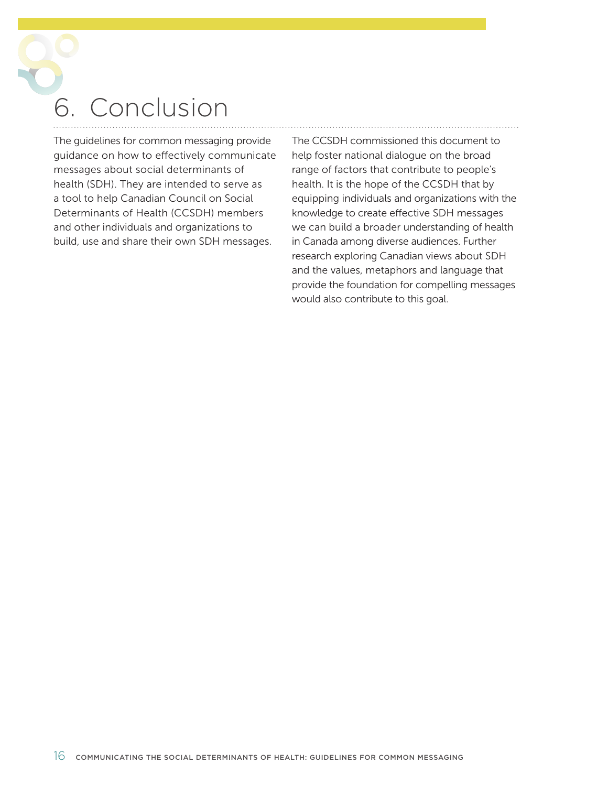<span id="page-25-0"></span>**Conclusion** 

The guidelines for common messaging provide guidance on how to effectively communicate messages about social determinants of health (SDH). They are intended to serve as a tool to help Canadian Council on Social Determinants of Health (CCSDH) members and other individuals and organizations to build, use and share their own SDH messages.

The CCSDH commissioned this document to help foster national dialogue on the broad range of factors that contribute to people's health. It is the hope of the CCSDH that by equipping individuals and organizations with the knowledge to create effective SDH messages we can build a broader understanding of health in Canada among diverse audiences. Further research exploring Canadian views about SDH and the values, metaphors and language that provide the foundation for compelling messages would also contribute to this goal.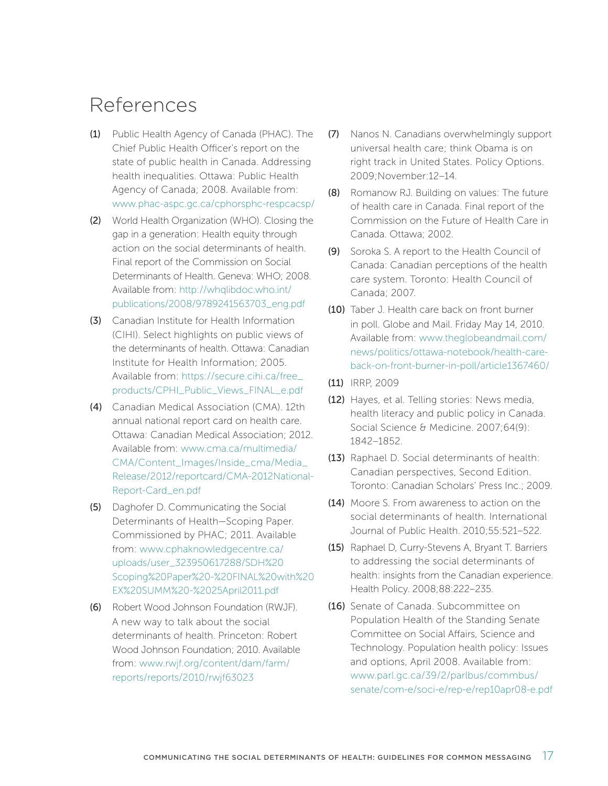### <span id="page-26-0"></span>References

- (1) Public Health Agency of Canada (PHAC). The Chief Public Health Officer's report on the state of public health in Canada. Addressing health inequalities. Ottawa: Public Health Agency of Canada; 2008. Available from: [www.phac-aspc.gc.ca/cphorsphc-respcacsp/](http://www.phac-aspc.gc.ca/cphorsphc-respcacsp/)
- (2) World Health Organization (WHO). Closing the gap in a generation: Health equity through action on the social determinants of health. Final report of the Commission on Social Determinants of Health. Geneva: WHO; 2008. Available from: [http://whqlibdoc.who.int/](http://whqlibdoc.who.int/publications/2008/9789241563703_eng.pdf) [publications/2008/9789241563703\\_eng.pdf](http://whqlibdoc.who.int/publications/2008/9789241563703_eng.pdf)
- (3) Canadian Institute for Health Information (CIHI). Select highlights on public views of the determinants of health. Ottawa: Canadian Institute for Health Information; 2005. Available from: [https://secure.cihi.ca/free\\_](https://secure.cihi.ca/free_products/CPHI_Public_Views_FINAL_e.pdf) [products/CPHI\\_Public\\_Views\\_FINAL\\_e.pdf](https://secure.cihi.ca/free_products/CPHI_Public_Views_FINAL_e.pdf)
- (4) Canadian Medical Association (CMA). 12th annual national report card on health care. Ottawa: Canadian Medical Association; 2012. Available from: [www.cma.ca/multimedia/](http://www.cma.ca/multimedia/CMA/Content_Images/Inside_cma/Media_Release/2012/reportcard/CMA-2012National-Report-Card_en.pdf) [CMA/Content\\_Images/Inside\\_cma/Media\\_](http://www.cma.ca/multimedia/CMA/Content_Images/Inside_cma/Media_Release/2012/reportcard/CMA-2012National-Report-Card_en.pdf) Release/2012/reportcard/CMA-2012National-Report-Card\_en.pdf
- (5) Daghofer D. Communicating the Social Determinants of Health—Scoping Paper. Commissioned by PHAC; 2011. Available from: [www.cphaknowledgecentre.ca/](http://www.cphaknowledgecentre.ca/uploads/user_323950617288/SDH%20Scoping%20Paper%20-%20FINAL%20with%20EX%20SUMM%20-%2025April2011.pdf) uploads/user\_323950617288/SDH%20 [Scoping%20Paper%20-%20FINAL%20with%20](http://www.cphaknowledgecentre.ca/uploads/user_323950617288/SDH%20Scoping%20Paper%20-%20FINAL%20with%20EX%20SUMM%20-%2025April2011.pdf) EX%20SUMM%20-%2025April2011.pdf
- (6) Robert Wood Johnson Foundation (RWJF). A new way to talk about the social determinants of health. Princeton: Robert Wood Johnson Foundation; 2010. Available from: [www.rwjf.org/content/dam/farm/](http://www.rwjf.org/content/dam/farm/reports/reports/2010/rwjf63023) [reports/reports/2010/rwjf63023](http://www.rwjf.org/content/dam/farm/reports/reports/2010/rwjf63023)
- (7) Nanos N. Canadians overwhelmingly support universal health care; think Obama is on right track in United States. Policy Options. 2009;November:12–14.
- (8) Romanow RJ. Building on values: The future of health care in Canada. Final report of the Commission on the Future of Health Care in Canada. Ottawa; 2002.
- (9) Soroka S. A report to the Health Council of Canada: Canadian perceptions of the health care system. Toronto: Health Council of Canada; 2007.
- (10) Taber J. Health care back on front burner in poll. Globe and Mail. Friday May 14, 2010. Available from: [www.theglobeandmail.com/](http://www.theglobeandmail.com/news/politics/ottawa-notebook/health-care-back-on-front-burner-in-poll/article1367460/) [news/politics/ottawa-notebook/health-care](http://www.theglobeandmail.com/news/politics/ottawa-notebook/health-care-back-on-front-burner-in-poll/article1367460/)back-on-front-burner-in-poll/article1367460/
- (11) IRRP, 2009
- (12) Hayes, et al. Telling stories: News media, health literacy and public policy in Canada. Social Science & Medicine. 2007:64(9): 1842–1852.
- (13) Raphael D. Social determinants of health: Canadian perspectives, Second Edition. Toronto: Canadian Scholars' Press Inc.; 2009.
- (14) Moore S. From awareness to action on the social determinants of health. International Journal of Public Health. 2010;55:521–522.
- (15) Raphael D, Curry-Stevens A, Bryant T. Barriers to addressing the social determinants of health: insights from the Canadian experience. Health Policy. 2008;88:222–235.
- (16) Senate of Canada. Subcommittee on Population Health of the Standing Senate Committee on Social Affairs, Science and Technology. Population health policy: Issues and options, April 2008. Available from: www.parl.gc.ca/39/2/parlbus/commbus/ [senate/com-e/soci-e/rep-e/rep10apr08-e.pdf](http://www.parl.gc.ca/39/2/parlbus/commbus/senate/com-e/soci-e/rep-e/rep10apr08-e.pdf)